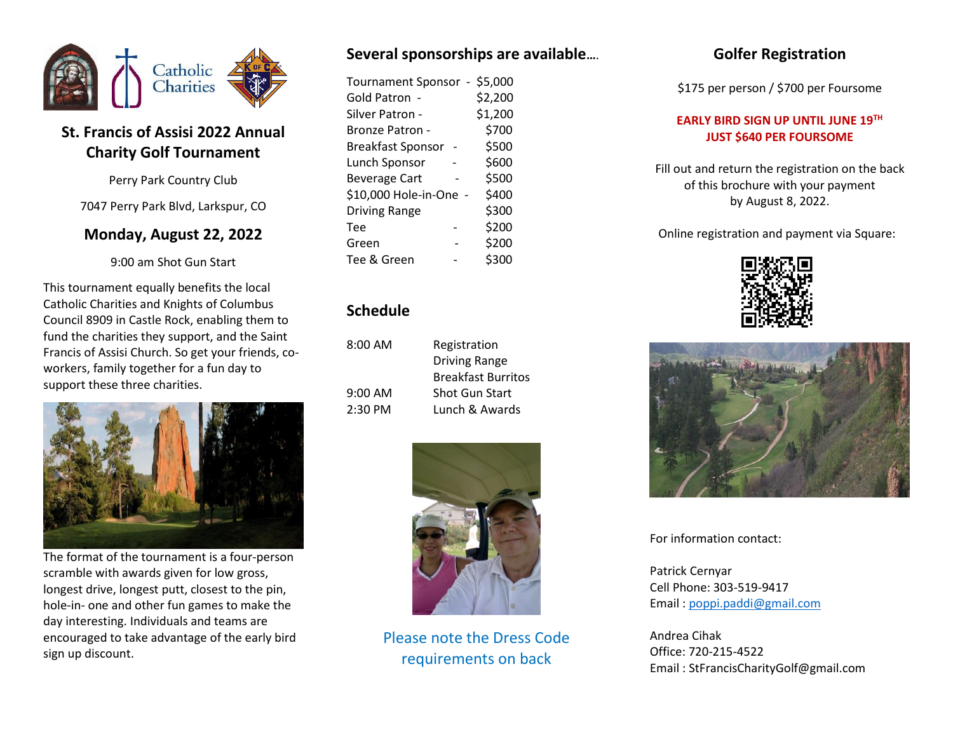

# **St. Francis of Assisi 2022 Annual Charity Golf Tournament**

Perry Park Country Club

7047 Perry Park Blvd, Larkspur, CO

### **Monday, August 22, 2022**

9:00 am Shot Gun Start

This tournament equally benefits the local Catholic Charities and Knights of Columbus Council 8909 in Castle Rock, enabling them to fund the charities they support, and the Saint Francis of Assisi Church. So get your friends, coworkers, family together for a fun day to support these three charities.



The format of the tournament is a four-person scramble with awards given for low gross, longest drive, longest putt, closest to the pin, hole-in- one and other fun games to make the day interesting. Individuals and teams are encouraged to take advantage of the early bird sign up discount.

## **Several sponsorships are available…**.

| Tournament Sponsor - \$5,000<br>Gold Patron -<br>Silver Patron - | \$2,200<br>\$1,200 |
|------------------------------------------------------------------|--------------------|
| <b>Bronze Patron -</b>                                           | \$700              |
| <b>Breakfast Sponsor</b>                                         | \$500              |
| Lunch Sponsor                                                    | \$600              |
| <b>Beverage Cart</b>                                             | \$500              |
| \$10,000 Hole-in-One -                                           | \$400              |
| <b>Driving Range</b>                                             | \$300              |
| Tee                                                              | \$200              |
| Green                                                            | \$200              |
| Tee & Green                                                      | \$300              |

### **Schedule**

| 8:00 AM | Registration              |
|---------|---------------------------|
|         | <b>Driving Range</b>      |
|         | <b>Breakfast Burritos</b> |
| 9:00 AM | <b>Shot Gun Start</b>     |
| 2:30 PM | Lunch & Awards            |
|         |                           |



Please note the Dress Code requirements on back

# **Golfer Registration**

\$175 per person / \$700 per Foursome

### **EARLY BIRD SIGN UP UNTIL JUNE 19TH JUST \$640 PER FOURSOME**

Fill out and return the registration on the back of this brochure with your payment by August 8, 2022.

Online registration and payment via Square:





For information contact:

Patrick Cernyar Cell Phone: 303-519-9417 Email [: poppi.paddi@gmail.com](mailto:poppi.paddi@gmail.com) 

Andrea Cihak Office: 720-215-4522 Email : StFrancisCharityGolf@gmail.com